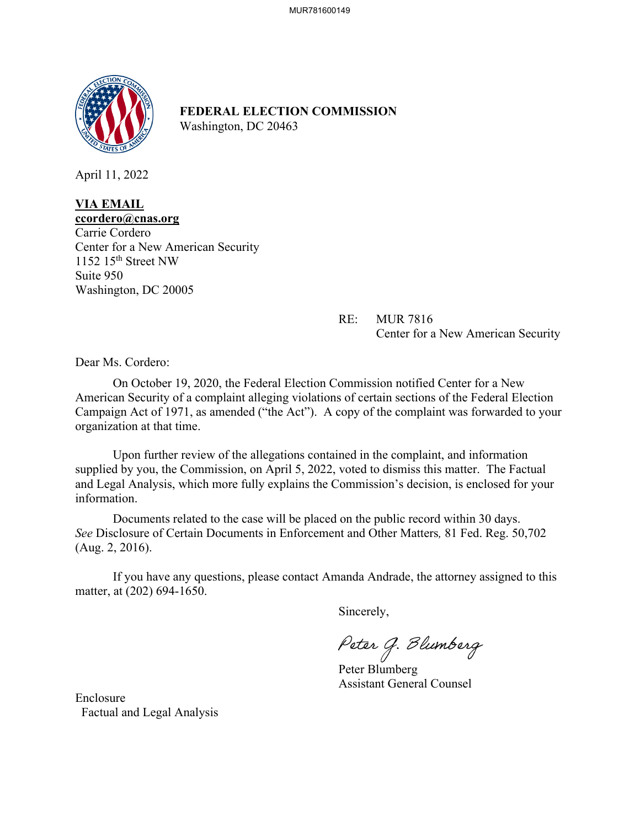

**FEDERAL ELECTION COMMISSION** Washington, DC 20463

April 11, 2022

## **VIA EMAIL**

**ccordero@cnas.org**  Carrie Cordero Center for a New American Security 1152 15th Street NW Suite 950 Washington, DC 20005

> RE: MUR 7816 Center for a New American Security

Dear Ms. Cordero:

On October 19, 2020, the Federal Election Commission notified Center for a New American Security of a complaint alleging violations of certain sections of the Federal Election Campaign Act of 1971, as amended ("the Act"). A copy of the complaint was forwarded to your organization at that time.

 Upon further review of the allegations contained in the complaint, and information supplied by you, the Commission, on April 5, 2022, voted to dismiss this matter. The Factual and Legal Analysis, which more fully explains the Commission's decision, is enclosed for your information.

Documents related to the case will be placed on the public record within 30 days. *See* Disclosure of Certain Documents in Enforcement and Other Matters*,* 81 Fed. Reg. 50,702 (Aug. 2, 2016).

If you have any questions, please contact Amanda Andrade, the attorney assigned to this matter, at (202) 694-1650.

Sincerely,

Peter G. Blumberg

Peter Blumberg Assistant General Counsel

Enclosure Factual and Legal Analysis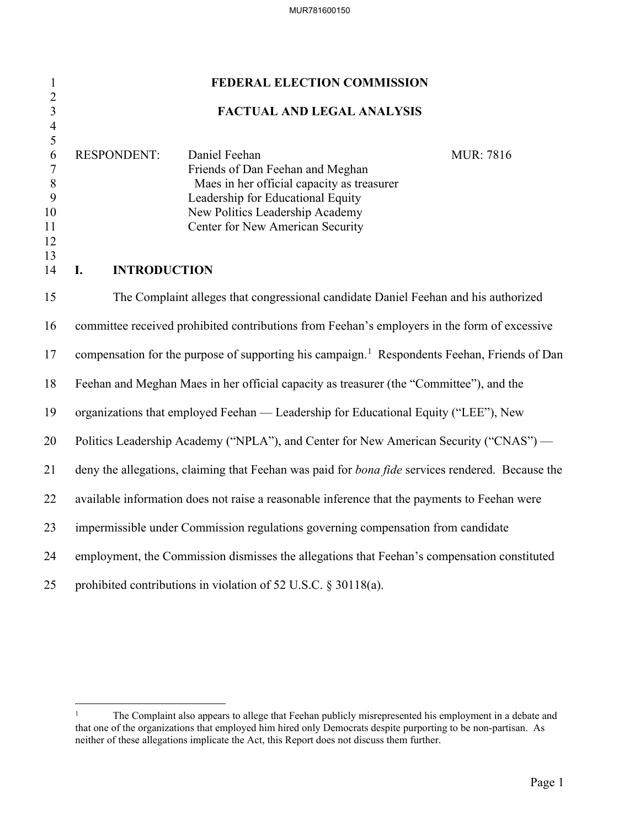| $\mathbf{1}$                                                   | FEDERAL ELECTION COMMISSION                                                                                                                                                                                                                            |  |  |  |  |  |
|----------------------------------------------------------------|--------------------------------------------------------------------------------------------------------------------------------------------------------------------------------------------------------------------------------------------------------|--|--|--|--|--|
| $\overline{2}$<br>$\overline{\mathbf{3}}$                      | FACTUAL AND LEGAL ANALYSIS                                                                                                                                                                                                                             |  |  |  |  |  |
| $\overline{4}$<br>5<br>6<br>7<br>$\, 8$<br>9<br>10<br>11<br>12 | <b>RESPONDENT:</b><br>Daniel Feehan<br><b>MUR</b> : 7816<br>Friends of Dan Feehan and Meghan<br>Maes in her official capacity as treasurer<br>Leadership for Educational Equity<br>New Politics Leadership Academy<br>Center for New American Security |  |  |  |  |  |
| 13<br>14                                                       | <b>INTRODUCTION</b><br>I.                                                                                                                                                                                                                              |  |  |  |  |  |
| 15                                                             | The Complaint alleges that congressional candidate Daniel Feehan and his authorized                                                                                                                                                                    |  |  |  |  |  |
| 16                                                             | committee received prohibited contributions from Feehan's employers in the form of excessive                                                                                                                                                           |  |  |  |  |  |
| 17                                                             | compensation for the purpose of supporting his campaign. <sup>1</sup> Respondents Feehan, Friends of Dan                                                                                                                                               |  |  |  |  |  |
| 18                                                             | Feehan and Meghan Maes in her official capacity as treasurer (the "Committee"), and the                                                                                                                                                                |  |  |  |  |  |
| 19                                                             | organizations that employed Feehan — Leadership for Educational Equity ("LEE"), New                                                                                                                                                                    |  |  |  |  |  |
| 20                                                             | Politics Leadership Academy ("NPLA"), and Center for New American Security ("CNAS") —                                                                                                                                                                  |  |  |  |  |  |
| 21                                                             | deny the allegations, claiming that Feehan was paid for <i>bona fide</i> services rendered. Because the                                                                                                                                                |  |  |  |  |  |
| 22                                                             | available information does not raise a reasonable inference that the payments to Feehan were                                                                                                                                                           |  |  |  |  |  |
| 23                                                             | impermissible under Commission regulations governing compensation from candidate                                                                                                                                                                       |  |  |  |  |  |
| 24                                                             | employment, the Commission dismisses the allegations that Feehan's compensation constituted                                                                                                                                                            |  |  |  |  |  |
| 25                                                             | prohibited contributions in violation of 52 U.S.C. § 30118(a).                                                                                                                                                                                         |  |  |  |  |  |

<span id="page-1-0"></span><sup>&</sup>lt;sup>1</sup> The Complaint also appears to allege that Feehan publicly misrepresented his employment in a debate and that one of the organizations that employed him hired only Democrats despite purporting to be non-partisan. As neither of these allegations implicate the Act, this Report does not discuss them further.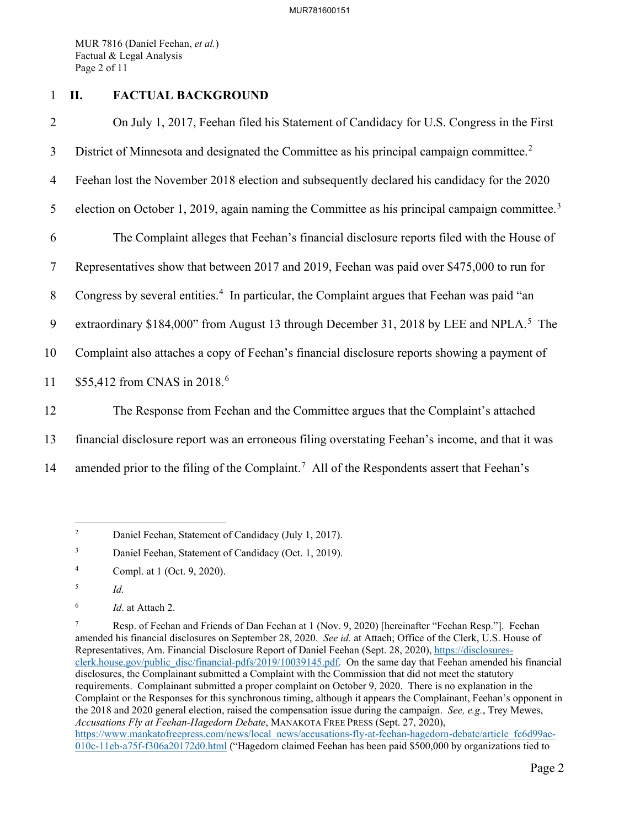MUR 7816 (Daniel Feehan, *et al.*) Factual & Legal Analysis Page 2 of 11

## 1 **II. FACTUAL BACKGROUND**

2 On July 1, 2017, Feehan filed his Statement of Candidacy for U.S. Congress in the First 3 District of Minnesota and designated the Committee as his principal campaign committee.<sup>[2](#page-2-0)</sup> 4 Feehan lost the November 2018 election and subsequently declared his candidacy for the 2020 5 election on October 1, 2019, again naming the Committee as his principal campaign committee.<sup>[3](#page-2-1)</sup> 6 The Complaint alleges that Feehan's financial disclosure reports filed with the House of 7 Representatives show that between 2017 and 2019, Feehan was paid over \$475,000 to run for 8 Congress by several entities.<sup>[4](#page-2-2)</sup> In particular, the Complaint argues that Feehan was paid "an 9 extraordinary \$184,000" from August 13 through December 31, 2018 by LEE and NPLA.<sup>[5](#page-2-3)</sup> The 10 Complaint also attaches a copy of Feehan's financial disclosure reports showing a payment of 11 \$55,412 from CNAS in 2018.<sup>[6](#page-2-4)</sup> 12 The Response from Feehan and the Committee argues that the Complaint's attached 13 financial disclosure report was an erroneous filing overstating Feehan's income, and that it was

14 amended prior to the filing of the Complaint.<sup>[7](#page-2-5)</sup> All of the Respondents assert that Feehan's

<span id="page-2-0"></span><sup>2</sup> Daniel Feehan, Statement of Candidacy (July 1, 2017).

<span id="page-2-1"></span><sup>3</sup> Daniel Feehan, Statement of Candidacy (Oct. 1, 2019).

<span id="page-2-2"></span><sup>4</sup> Compl. at 1 (Oct. 9, 2020).

<span id="page-2-3"></span><sup>5</sup> *Id.*

<span id="page-2-4"></span><sup>6</sup> *Id*. at Attach 2.

<span id="page-2-5"></span><sup>7</sup> Resp. of Feehan and Friends of Dan Feehan at 1 (Nov. 9, 2020) [hereinafter "Feehan Resp."]. Feehan amended his financial disclosures on September 28, 2020. *See id.* at Attach; Office of the Clerk, U.S. House of Representatives, Am. Financial Disclosure Report of Daniel Feehan (Sept. 28, 2020), [https://disclosures](https://disclosures-clerk.house.gov/public_disc/financial-pdfs/2019/10039145.pdf)[clerk.house.gov/public\\_disc/financial-pdfs/2019/10039145.pdf.](https://disclosures-clerk.house.gov/public_disc/financial-pdfs/2019/10039145.pdf) On the same day that Feehan amended his financial disclosures, the Complainant submitted a Complaint with the Commission that did not meet the statutory requirements. Complainant submitted a proper complaint on October 9, 2020. There is no explanation in the Complaint or the Responses for this synchronous timing, although it appears the Complainant, Feehan's opponent in the 2018 and 2020 general election, raised the compensation issue during the campaign. *See, e.g.*, Trey Mewes, *Accusations Fly at Feehan-Hagedorn Debate*, MANAKOTA FREE PRESS (Sept. 27, 2020), [https://www.mankatofreepress.com/news/local\\_news/accusations-fly-at-feehan-hagedorn-debate/article\\_fc6d99ac-](https://www.mankatofreepress.com/news/local_news/accusations-fly-at-feehan-hagedorn-debate/article_fc6d99ac-010c-11eb-a75f-f306a20172d0.html)[010c-11eb-a75f-f306a20172d0.html](https://www.mankatofreepress.com/news/local_news/accusations-fly-at-feehan-hagedorn-debate/article_fc6d99ac-010c-11eb-a75f-f306a20172d0.html) ("Hagedorn claimed Feehan has been paid \$500,000 by organizations tied to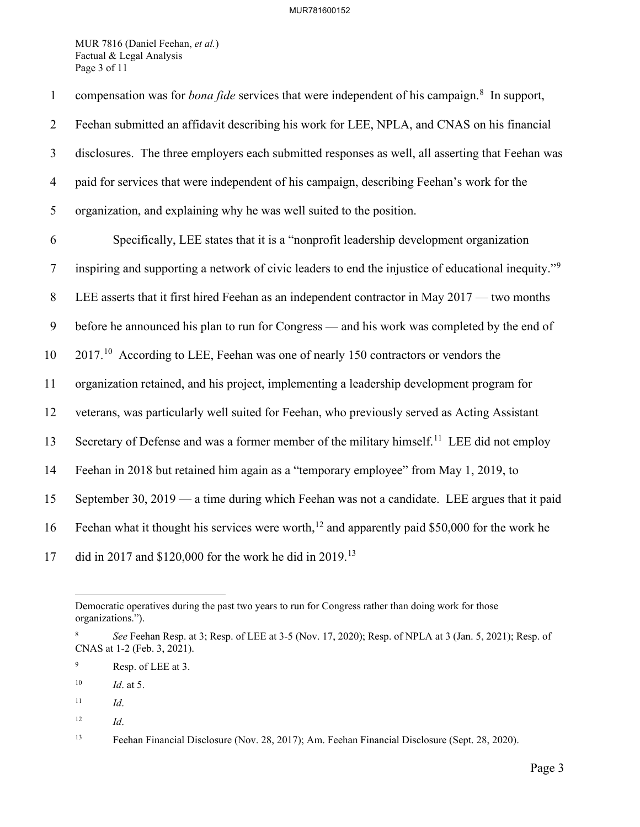MUR 7816 (Daniel Feehan, *et al.*) Factual & Legal Analysis Page 3 of 11

| $\mathbf{1}$   | compensation was for <i>bona fide</i> services that were independent of his campaign. <sup>8</sup> In support,  |
|----------------|-----------------------------------------------------------------------------------------------------------------|
| $\overline{2}$ | Feehan submitted an affidavit describing his work for LEE, NPLA, and CNAS on his financial                      |
| 3              | disclosures. The three employers each submitted responses as well, all asserting that Feehan was                |
| $\overline{4}$ | paid for services that were independent of his campaign, describing Feehan's work for the                       |
| 5              | organization, and explaining why he was well suited to the position.                                            |
| 6              | Specifically, LEE states that it is a "nonprofit leadership development organization                            |
| $\tau$         | inspiring and supporting a network of civic leaders to end the injustice of educational inequity." <sup>9</sup> |
| 8              | LEE asserts that it first hired Feehan as an independent contractor in May 2017 — two months                    |
| 9              | before he announced his plan to run for Congress — and his work was completed by the end of                     |
| 10             | $201710$ According to LEE, Feehan was one of nearly 150 contractors or vendors the                              |
| 11             | organization retained, and his project, implementing a leadership development program for                       |
| 12             | veterans, was particularly well suited for Feehan, who previously served as Acting Assistant                    |
| 13             | Secretary of Defense and was a former member of the military himself. <sup>11</sup> LEE did not employ          |
| 14             | Feehan in 2018 but retained him again as a "temporary employee" from May 1, 2019, to                            |
| 15             | September 30, 2019 — a time during which Feehan was not a candidate. LEE argues that it paid                    |
| 16             | Feehan what it thought his services were worth, <sup>12</sup> and apparently paid \$50,000 for the work he      |
| 17             | did in 2017 and \$120,000 for the work he did in 2019. <sup>13</sup>                                            |

Democratic operatives during the past two years to run for Congress rather than doing work for those organizations.").

<span id="page-3-0"></span><sup>8</sup> *See* Feehan Resp. at 3; Resp. of LEE at 3-5 (Nov. 17, 2020); Resp. of NPLA at 3 (Jan. 5, 2021); Resp. of CNAS at 1-2 (Feb. 3, 2021).

<span id="page-3-1"></span><sup>9</sup> Resp. of LEE at 3.

<span id="page-3-2"></span><sup>10</sup> *Id*. at 5.

<span id="page-3-3"></span> $11$  *Id.* 

<span id="page-3-4"></span><sup>12</sup> *Id*.

<span id="page-3-5"></span><sup>13</sup> Feehan Financial Disclosure (Nov. 28, 2017); Am. Feehan Financial Disclosure (Sept. 28, 2020).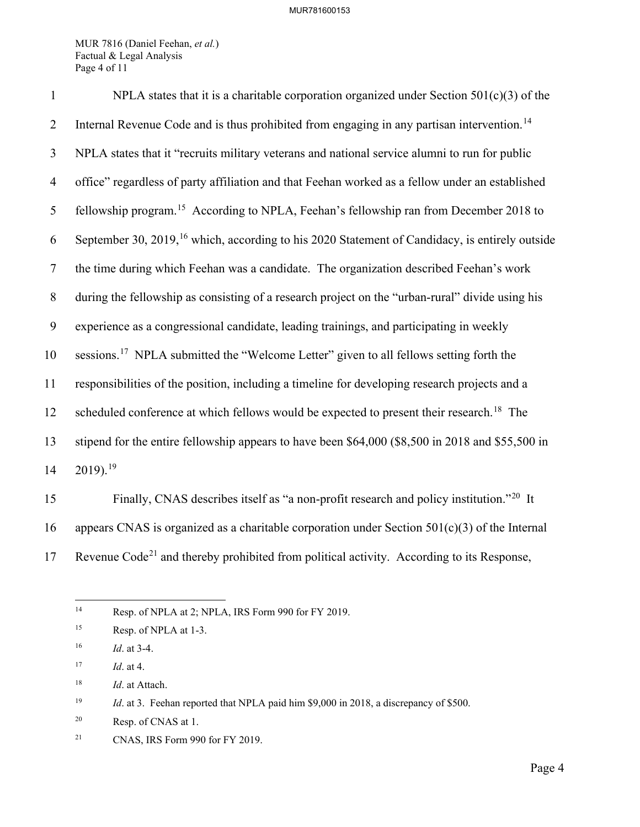MUR 7816 (Daniel Feehan, *et al.*) Factual & Legal Analysis Page 4 of 11

| $\mathbf{1}$   | NPLA states that it is a charitable corporation organized under Section $501(c)(3)$ of the                 |
|----------------|------------------------------------------------------------------------------------------------------------|
| $\overline{2}$ | Internal Revenue Code and is thus prohibited from engaging in any partisan intervention. <sup>14</sup>     |
| 3              | NPLA states that it "recruits military veterans and national service alumni to run for public              |
| $\overline{4}$ | office" regardless of party affiliation and that Feehan worked as a fellow under an established            |
| 5              | fellowship program. <sup>15</sup> According to NPLA, Feehan's fellowship ran from December 2018 to         |
| 6              | September 30, 2019, <sup>16</sup> which, according to his 2020 Statement of Candidacy, is entirely outside |
| $\tau$         | the time during which Feehan was a candidate. The organization described Feehan's work                     |
| 8              | during the fellowship as consisting of a research project on the "urban-rural" divide using his            |
| 9              | experience as a congressional candidate, leading trainings, and participating in weekly                    |
| 10             | sessions. <sup>17</sup> NPLA submitted the "Welcome Letter" given to all fellows setting forth the         |
| 11             | responsibilities of the position, including a timeline for developing research projects and a              |
| 12             | scheduled conference at which fellows would be expected to present their research. <sup>18</sup> The       |
| 13             | stipend for the entire fellowship appears to have been \$64,000 (\$8,500 in 2018 and \$55,500 in           |
| 14             | $2019$ . <sup>19</sup>                                                                                     |
| 15             | Finally CNAS describes itself as "a non-profit research and policy institution $^{220}$ It                 |

Finally, CNAS describes itself as "a non-profit research and policy institution."[20](#page-4-6) 15 It 16 appears CNAS is organized as a charitable corporation under Section  $501(c)(3)$  of the Internal 17 Revenue Code<sup>[21](#page-4-7)</sup> and thereby prohibited from political activity. According to its Response,

<span id="page-4-0"></span><sup>&</sup>lt;sup>14</sup> Resp. of NPLA at 2; NPLA, IRS Form 990 for FY 2019.

<span id="page-4-1"></span><sup>&</sup>lt;sup>15</sup> Resp. of NPLA at 1-3.

<span id="page-4-2"></span><sup>16</sup> *Id*. at 3-4.

<span id="page-4-3"></span><sup>17</sup> *Id*. at 4.

<span id="page-4-4"></span><sup>18</sup> *Id*. at Attach.

<span id="page-4-5"></span><sup>&</sup>lt;sup>19</sup> *Id.* at 3. Feehan reported that NPLA paid him \$9,000 in 2018, a discrepancy of \$500.

<span id="page-4-6"></span><sup>20</sup> Resp. of CNAS at 1.

<span id="page-4-7"></span><sup>21</sup> CNAS, IRS Form 990 for FY 2019.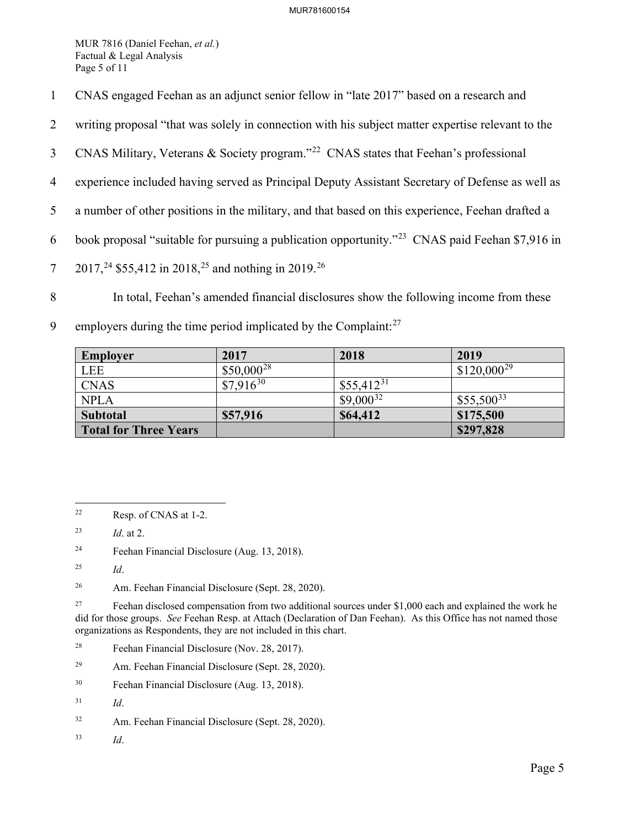MUR 7816 (Daniel Feehan, *et al.*) Factual & Legal Analysis Page 5 of 11

- 1 CNAS engaged Feehan as an adjunct senior fellow in "late 2017" based on a research and
- 2 writing proposal "that was solely in connection with his subject matter expertise relevant to the
- 3 CNAS Military, Veterans & Society program."<sup>[22](#page-5-0)</sup> CNAS states that Feehan's professional
- 4 experience included having served as Principal Deputy Assistant Secretary of Defense as well as
- 5 a number of other positions in the military, and that based on this experience, Feehan drafted a
- 6 book proposal "suitable for pursuing a publication opportunity."<sup>[23](#page-5-1)</sup> CNAS paid Feehan \$7,916 in
- 7 2017,<sup>24</sup> \$55,412 in 2018,<sup>[25](#page-5-3)</sup> and nothing in 2019.<sup>[26](#page-5-4)</sup>
- 8 In total, Feehan's amended financial disclosures show the following income from these
- 9 employers during the time period implicated by the Complaint: $27$

| Employer              | 2017            | 2018           | 2019            |
|-----------------------|-----------------|----------------|-----------------|
| LEE                   | $$50,000^{28}$$ |                | $$120,000^{29}$ |
| <b>CNAS</b>           | $$7,916^{30}$   | $$55,412^{31}$ |                 |
| <b>NPLA</b>           |                 | $$9,000^{32}$  | $$55,500^{33}$  |
| <b>Subtotal</b>       | \$57,916        | \$64,412       | \$175,500       |
| Total for Three Years |                 |                | \$297,828       |

<span id="page-5-2"></span>24 Feehan Financial Disclosure (Aug. 13, 2018).

- <span id="page-5-7"></span>29 Am. Feehan Financial Disclosure (Sept. 28, 2020).
- <span id="page-5-8"></span>30 Feehan Financial Disclosure (Aug. 13, 2018).

<span id="page-5-11"></span>33 *Id*.

<span id="page-5-0"></span><sup>22</sup> Resp. of CNAS at 1-2.

<span id="page-5-1"></span><sup>23</sup> *Id*. at 2.

<span id="page-5-3"></span><sup>25</sup> *Id*.

<span id="page-5-4"></span><sup>26</sup> Am. Feehan Financial Disclosure (Sept. 28, 2020).

<span id="page-5-5"></span><sup>&</sup>lt;sup>27</sup> Feehan disclosed compensation from two additional sources under \$1,000 each and explained the work he did for those groups. *See* Feehan Resp. at Attach (Declaration of Dan Feehan). As this Office has not named those organizations as Respondents, they are not included in this chart.

<span id="page-5-6"></span><sup>28</sup> Feehan Financial Disclosure (Nov. 28, 2017).

<span id="page-5-9"></span><sup>31</sup> *Id*.

<span id="page-5-10"></span><sup>32</sup> Am. Feehan Financial Disclosure (Sept. 28, 2020).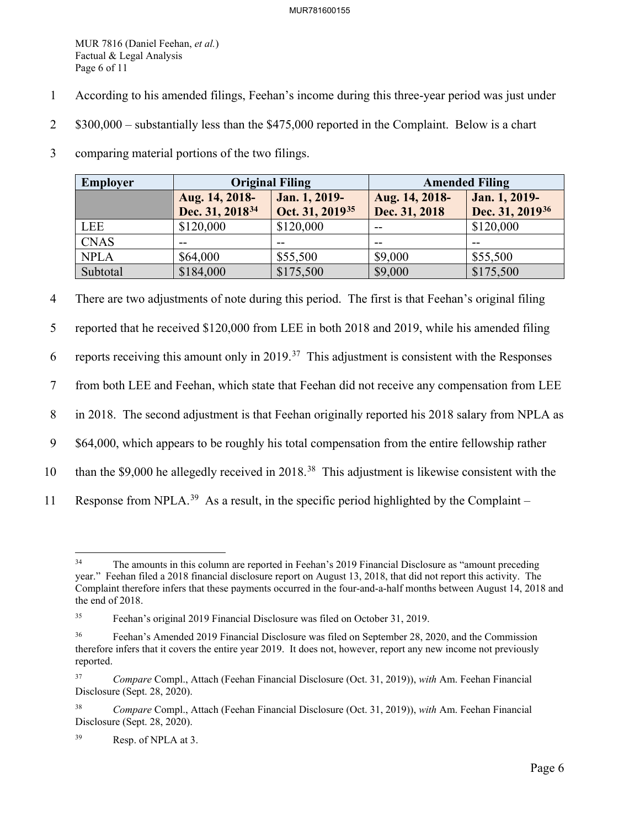MUR 7816 (Daniel Feehan, *et al.*) Factual & Legal Analysis Page 6 of 11

- 1 According to his amended filings, Feehan's income during this three-year period was just under
- 2 \$300,000 substantially less than the \$475,000 reported in the Complaint. Below is a chart
- 3 comparing material portions of the two filings.

| Employer    | <b>Original Filing</b>                        |                                              | <b>Amended Filing</b>           |                                              |
|-------------|-----------------------------------------------|----------------------------------------------|---------------------------------|----------------------------------------------|
|             | Aug. 14, 2018-<br>Dec. 31, 2018 <sup>34</sup> | Jan. 1, 2019-<br>Oct. 31, 2019 <sup>35</sup> | Aug. 14, 2018-<br>Dec. 31, 2018 | Jan. 1, 2019-<br>Dec. 31, 2019 <sup>36</sup> |
| LEE         | \$120,000                                     | \$120,000                                    | $- -$                           | \$120,000                                    |
| <b>CNAS</b> | --                                            |                                              | --                              |                                              |
| <b>NPLA</b> | \$64,000                                      | \$55,500                                     | \$9,000                         | \$55,500                                     |
| Subtotal    | \$184,000                                     | \$175,500                                    | \$9,000                         | \$175,500                                    |

4 There are two adjustments of note during this period. The first is that Feehan's original filing

5 reported that he received \$120,000 from LEE in both 2018 and 2019, while his amended filing

6 reports receiving this amount only in 2019.<sup>37</sup> This adjustment is consistent with the Responses

7 from both LEE and Feehan, which state that Feehan did not receive any compensation from LEE

8 in 2018. The second adjustment is that Feehan originally reported his 2018 salary from NPLA as

9 \$64,000, which appears to be roughly his total compensation from the entire fellowship rather

- 10 than the \$9,000 he allegedly received in 2018.<sup>[38](#page-6-4)</sup> This adjustment is likewise consistent with the
- 11 Response from NPLA.<sup>[39](#page-6-5)</sup> As a result, in the specific period highlighted by the Complaint –

<span id="page-6-0"></span><sup>&</sup>lt;sup>34</sup> The amounts in this column are reported in Feehan's 2019 Financial Disclosure as "amount preceding" year." Feehan filed a 2018 financial disclosure report on August 13, 2018, that did not report this activity. The Complaint therefore infers that these payments occurred in the four-and-a-half months between August 14, 2018 and the end of 2018.

<span id="page-6-1"></span><sup>35</sup> Feehan's original 2019 Financial Disclosure was filed on October 31, 2019.

<span id="page-6-2"></span><sup>&</sup>lt;sup>36</sup> Feehan's Amended 2019 Financial Disclosure was filed on September 28, 2020, and the Commission therefore infers that it covers the entire year 2019. It does not, however, report any new income not previously reported.

<span id="page-6-3"></span><sup>37</sup> *Compare* Compl., Attach (Feehan Financial Disclosure (Oct. 31, 2019)), *with* Am. Feehan Financial Disclosure (Sept. 28, 2020).

<span id="page-6-4"></span><sup>38</sup> *Compare* Compl., Attach (Feehan Financial Disclosure (Oct. 31, 2019)), *with* Am. Feehan Financial Disclosure (Sept. 28, 2020).

<span id="page-6-5"></span><sup>39</sup> Resp. of NPLA at 3.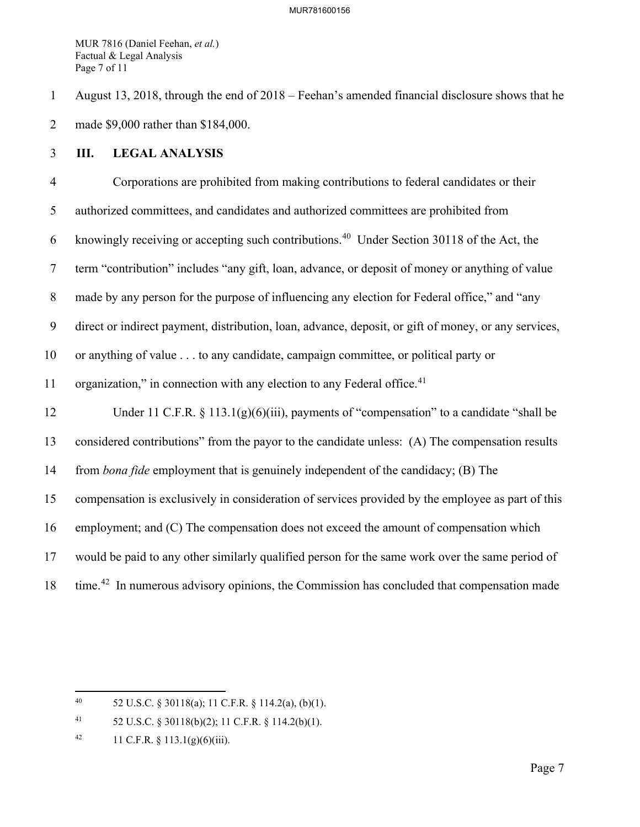MUR 7816 (Daniel Feehan, *et al.*) Factual & Legal Analysis Page 7 of 11

1 August 13, 2018, through the end of 2018 – Feehan's amended financial disclosure shows that he 2 made \$9,000 rather than \$184,000.

## 3 **III. LEGAL ANALYSIS**

4 Corporations are prohibited from making contributions to federal candidates or their 5 authorized committees, and candidates and authorized committees are prohibited from 6 knowingly receiving or accepting such contributions.<sup>[40](#page-7-0)</sup> Under Section 30118 of the Act, the 7 term "contribution" includes "any gift, loan, advance, or deposit of money or anything of value 8 made by any person for the purpose of influencing any election for Federal office," and "any 9 direct or indirect payment, distribution, loan, advance, deposit, or gift of money, or any services, 10 or anything of value . . . to any candidate, campaign committee, or political party or 11 organization," in connection with any election to any Federal office. $41$ 12 Under 11 C.F.R. § 113.1(g)(6)(iii), payments of "compensation" to a candidate "shall be 13 considered contributions" from the payor to the candidate unless: (A) The compensation results 14 from *bona fide* employment that is genuinely independent of the candidacy; (B) The 15 compensation is exclusively in consideration of services provided by the employee as part of this 16 employment; and (C) The compensation does not exceed the amount of compensation which 17 would be paid to any other similarly qualified person for the same work over the same period of 18 time.<sup>[42](#page-7-2)</sup> In numerous advisory opinions, the Commission has concluded that compensation made

<span id="page-7-0"></span><sup>40 52</sup> U.S.C. § 30118(a); 11 C.F.R. § 114.2(a), (b)(1).

<span id="page-7-1"></span><sup>41 52</sup> U.S.C. § 30118(b)(2); 11 C.F.R. § 114.2(b)(1).

<span id="page-7-2"></span><sup>42 11</sup> C.F.R.  $\S$  113.1(g)(6)(iii).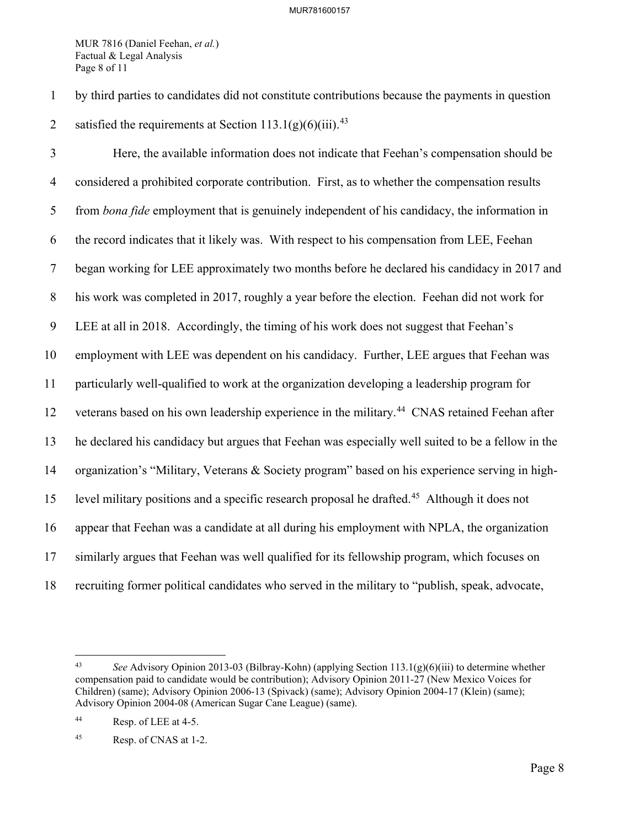MUR 7816 (Daniel Feehan, *et al.*) Factual & Legal Analysis Page 8 of 11

1 by third parties to candidates did not constitute contributions because the payments in question 2 satisfied the requirements at Section  $113.1(g)(6)(iii)$ .<sup>[43](#page-8-0)</sup>

3 Here, the available information does not indicate that Feehan's compensation should be 4 considered a prohibited corporate contribution. First, as to whether the compensation results 5 from *bona fide* employment that is genuinely independent of his candidacy, the information in 6 the record indicates that it likely was. With respect to his compensation from LEE, Feehan 7 began working for LEE approximately two months before he declared his candidacy in 2017 and 8 his work was completed in 2017, roughly a year before the election. Feehan did not work for 9 LEE at all in 2018. Accordingly, the timing of his work does not suggest that Feehan's 10 employment with LEE was dependent on his candidacy. Further, LEE argues that Feehan was 11 particularly well-qualified to work at the organization developing a leadership program for 12 veterans based on his own leadership experience in the military.<sup>[44](#page-8-1)</sup> CNAS retained Feehan after 13 he declared his candidacy but argues that Feehan was especially well suited to be a fellow in the 14 organization's "Military, Veterans & Society program" based on his experience serving in high-15 level military positions and a specific research proposal he drafted.<sup>[45](#page-8-2)</sup> Although it does not 16 appear that Feehan was a candidate at all during his employment with NPLA, the organization 17 similarly argues that Feehan was well qualified for its fellowship program, which focuses on 18 recruiting former political candidates who served in the military to "publish, speak, advocate,

<span id="page-8-0"></span><sup>43</sup> *See* Advisory Opinion 2013-03 (Bilbray-Kohn) (applying Section 113.1(g)(6)(iii) to determine whether compensation paid to candidate would be contribution); Advisory Opinion 2011-27 (New Mexico Voices for Children) (same); Advisory Opinion 2006-13 (Spivack) (same); Advisory Opinion 2004-17 (Klein) (same); Advisory Opinion 2004-08 (American Sugar Cane League) (same).

<span id="page-8-1"></span><sup>44</sup> Resp. of LEE at 4-5.

<span id="page-8-2"></span><sup>45</sup> Resp. of CNAS at 1-2.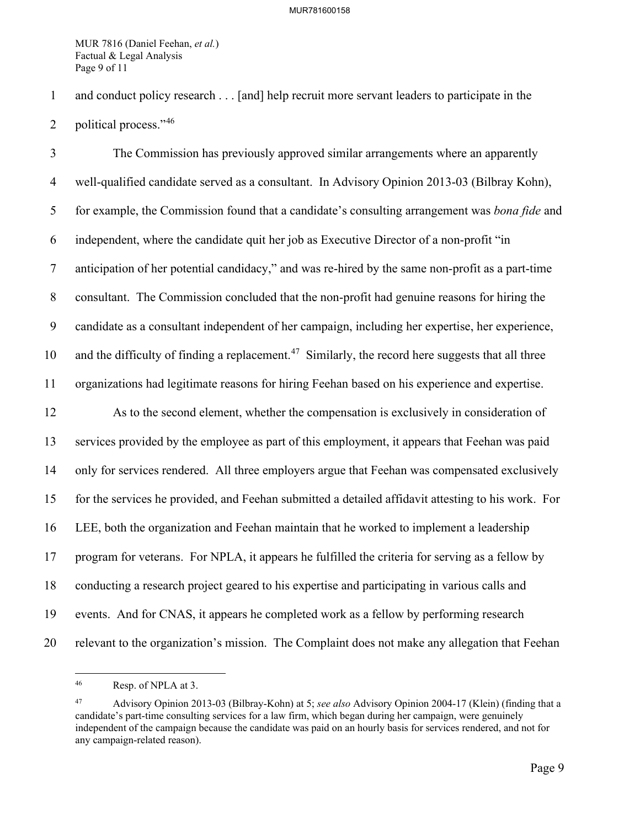MUR 7816 (Daniel Feehan, *et al.*) Factual & Legal Analysis Page 9 of 11

1 and conduct policy research . . . [and] help recruit more servant leaders to participate in the

2 political process." $46$ 

3 The Commission has previously approved similar arrangements where an apparently 4 well-qualified candidate served as a consultant. In Advisory Opinion 2013-03 (Bilbray Kohn), 5 for example, the Commission found that a candidate's consulting arrangement was *bona fide* and 6 independent, where the candidate quit her job as Executive Director of a non-profit "in 7 anticipation of her potential candidacy," and was re-hired by the same non-profit as a part-time 8 consultant. The Commission concluded that the non-profit had genuine reasons for hiring the 9 candidate as a consultant independent of her campaign, including her expertise, her experience, 10 and the difficulty of finding a replacement.<sup>[47](#page-9-1)</sup> Similarly, the record here suggests that all three 11 organizations had legitimate reasons for hiring Feehan based on his experience and expertise. 12 As to the second element, whether the compensation is exclusively in consideration of 13 services provided by the employee as part of this employment, it appears that Feehan was paid 14 only for services rendered. All three employers argue that Feehan was compensated exclusively 15 for the services he provided, and Feehan submitted a detailed affidavit attesting to his work. For 16 LEE, both the organization and Feehan maintain that he worked to implement a leadership 17 program for veterans. For NPLA, it appears he fulfilled the criteria for serving as a fellow by 18 conducting a research project geared to his expertise and participating in various calls and 19 events. And for CNAS, it appears he completed work as a fellow by performing research 20 relevant to the organization's mission. The Complaint does not make any allegation that Feehan

<span id="page-9-0"></span><sup>46</sup> Resp. of NPLA at 3.

<span id="page-9-1"></span><sup>47</sup> Advisory Opinion 2013-03 (Bilbray-Kohn) at 5; *see also* Advisory Opinion 2004-17 (Klein) (finding that a candidate's part-time consulting services for a law firm, which began during her campaign, were genuinely independent of the campaign because the candidate was paid on an hourly basis for services rendered, and not for any campaign-related reason).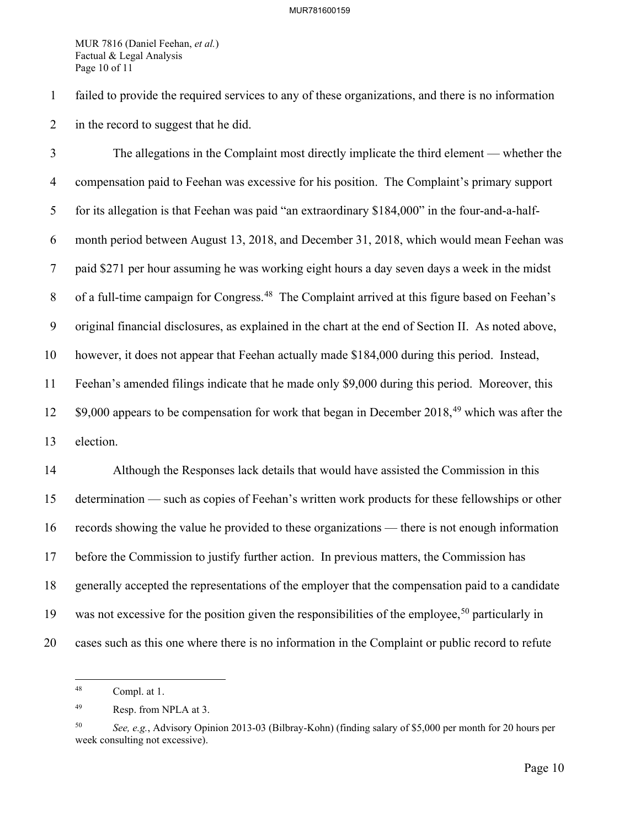MUR 7816 (Daniel Feehan, *et al.*) Factual & Legal Analysis Page 10 of 11

1 failed to provide the required services to any of these organizations, and there is no information 2 in the record to suggest that he did.

3 The allegations in the Complaint most directly implicate the third element — whether the 4 compensation paid to Feehan was excessive for his position. The Complaint's primary support 5 for its allegation is that Feehan was paid "an extraordinary \$184,000" in the four-and-a-half-6 month period between August 13, 2018, and December 31, 2018, which would mean Feehan was 7 paid \$271 per hour assuming he was working eight hours a day seven days a week in the midst 8 of a full-time campaign for Congress.<sup>[48](#page-10-0)</sup> The Complaint arrived at this figure based on Feehan's 9 original financial disclosures, as explained in the chart at the end of Section II. As noted above, 10 however, it does not appear that Feehan actually made \$184,000 during this period. Instead, 11 Feehan's amended filings indicate that he made only \$9,000 during this period. Moreover, this  $12$  \$9,000 appears to be compensation for work that began in December 2018,<sup>[49](#page-10-1)</sup> which was after the 13 election.

14 Although the Responses lack details that would have assisted the Commission in this 15 determination — such as copies of Feehan's written work products for these fellowships or other 16 records showing the value he provided to these organizations — there is not enough information 17 before the Commission to justify further action. In previous matters, the Commission has 18 generally accepted the representations of the employer that the compensation paid to a candidate 19 was not excessive for the position given the responsibilities of the employee,<sup>[50](#page-10-2)</sup> particularly in 20 cases such as this one where there is no information in the Complaint or public record to refute

<span id="page-10-0"></span><sup>48</sup> Compl. at 1.

<span id="page-10-1"></span><sup>49</sup> Resp. from NPLA at 3.

<span id="page-10-2"></span><sup>50</sup> *See, e.g.*, Advisory Opinion 2013-03 (Bilbray-Kohn) (finding salary of \$5,000 per month for 20 hours per week consulting not excessive).